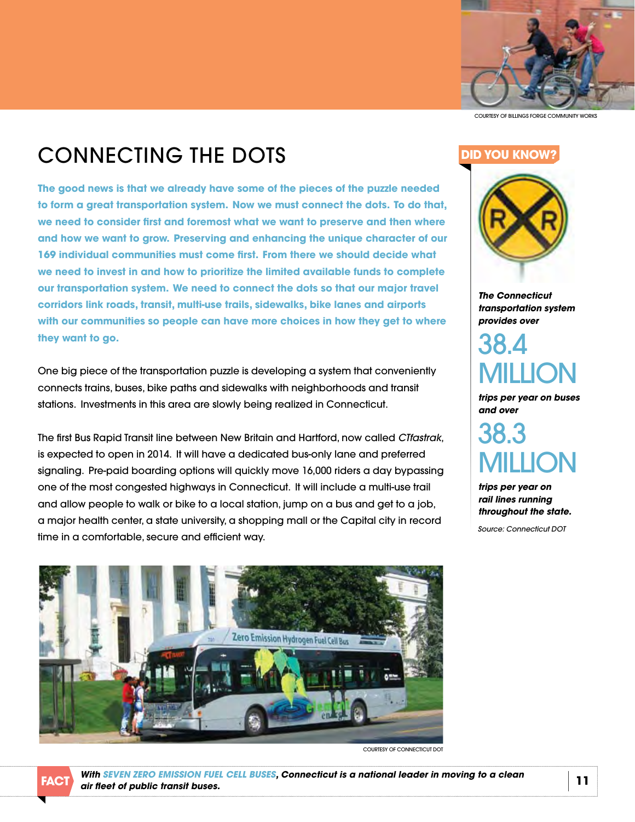

COurTESy OF BiLLinGS FOrGE COmmuniTy WOrkS

## COnnECTinG THE dOTS

**the good news is that we already have some of the pieces of the puzzle needed**  to form a great transportation system. Now we must connect the dots. To do that, **we need to consider first and foremost what we want to preserve and then where and how we want to grow. preserving and enhancing the unique character of our 169 individual communities must come first. from there we should decide what we need to invest in and how to prioritize the limited available funds to complete our transportation system. We need to connect the dots so that our major travel corridors link roads, transit, multi-use trails, sidewalks, bike lanes and airports with our communities so people can have more choices in how they get to where they want to go.**

One big piece of the transportation puzzle is developing a system that conveniently connects trains, buses, bike paths and sidewalks with neighborhoods and transit stations.investments in this area are slowly being realized in Connecticut.

The first Bus rapid Transit line between new Britain and Hartford, now called *[CTfastrak](http://www.ctfastrak.com/index.php/en)*, is expected to open in 2014.it will have a dedicated bus-only lane and preferred signaling.Pre-paid boarding options will quickly move 16,000 riders a day bypassing one of the most congested highways in Connecticut.it will include a multi-use trail and allow people to walk or bike to a local station, jump on a bus and get to a job, a major health center, a state university, a shopping mall or the Capital city in record time in a comfortable, secure and efficient way.



COURTESY OF CONNECTICUT DOT

## **dId you knoW?**



*The Connecticut transportation system provides over* 

38. 4 miLLiOn

*trips per year on buses and over* 

38. 3 **AII LION** 

*trips per year on rail lines running throughout the state.*

*Source: Connecticut DOT*

*with SEVEN zErO EMISSION fUEL CELL BUSES, Connecticut is a national leader in moving to a clean*  **air fleet of public transit buses.** *all boses, connectical is a national leader in moving to a clear* **[11]**